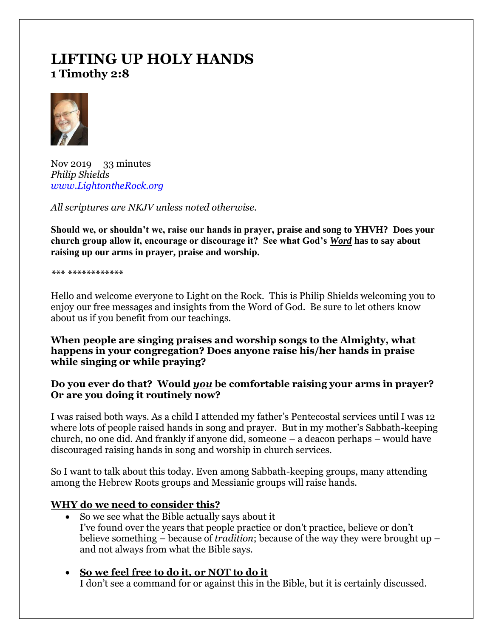# **LIFTING UP HOLY HANDS 1 Timothy 2:8**



Nov 2019 33 minutes *Philip Shields [www.LightontheRock.org](http://www.lightontherock.org/)*

*All scriptures are NKJV unless noted otherwise.* 

**Should we, or shouldn't we, raise our hands in prayer, praise and song to YHVH? Does your church group allow it, encourage or discourage it? See what God's** *Word* **has to say about raising up our arms in prayer, praise and worship.** 

*\*\*\* \*\*\*\*\*\*\*\*\*\*\*\** 

Hello and welcome everyone to Light on the Rock. This is Philip Shields welcoming you to enjoy our free messages and insights from the Word of God. Be sure to let others know about us if you benefit from our teachings.

**When people are singing praises and worship songs to the Almighty, what happens in your congregation? Does anyone raise his/her hands in praise while singing or while praying?** 

### **Do you ever do that? Would** *you* **be comfortable raising your arms in prayer? Or are you doing it routinely now?**

I was raised both ways. As a child I attended my father's Pentecostal services until I was 12 where lots of people raised hands in song and prayer. But in my mother's Sabbath-keeping church, no one did. And frankly if anyone did, someone – a deacon perhaps – would have discouraged raising hands in song and worship in church services.

So I want to talk about this today. Even among Sabbath-keeping groups, many attending among the Hebrew Roots groups and Messianic groups will raise hands.

# **WHY do we need to consider this?**

- So we see what the Bible actually says about it I've found over the years that people practice or don't practice, believe or don't believe something – because of *tradition*; because of the way they were brought up – and not always from what the Bible says.
- **So we feel free to do it, or NOT to do it** I don't see a command for or against this in the Bible, but it is certainly discussed.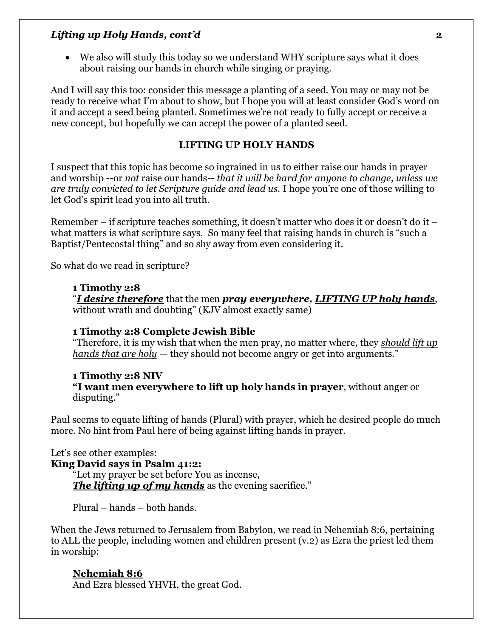• We also will study this today so we understand WHY scripture says what it does about raising our hands in church while singing or praying.

And I will say this too: consider this message a planting of a seed. You may or may not be ready to receive what I'm about to show, but I hope you will at least consider God's word on it and accept a seed being planted. Sometimes we're not ready to fully accept or receive a new concept, but hopefully we can accept the power of a planted seed.

#### **LIFTING UP HOLY HANDS**

I suspect that this topic has become so ingrained in us to either raise our hands in prayer and worship --or *not* raise our hands*-- that it will be hard for anyone to change, unless we are truly convicted to let Scripture guide and lead us.* I hope you're one of those willing to let God's spirit lead you into all truth.

Remember – if scripture teaches something, it doesn't matter who does it or doesn't do it – what matters is what scripture says. So many feel that raising hands in church is "such a Baptist/Pentecostal thing" and so shy away from even considering it.

So what do we read in scripture?

#### **1 Timothy 2:8**

"*I desire therefore* that the men *pray everywhere, LIFTING UP holy hands*, without wrath and doubting" (KJV almost exactly same)

#### **1 Timothy 2:8 Complete Jewish Bible**

"Therefore, it is my wish that when the men pray, no matter where, they *should lift up hands that are holy* — they should not become angry or get into arguments."

#### **1 Timothy 2:8 NIV**

**"I want men everywhere to lift up holy hands in prayer**, without anger or disputing."

Paul seems to equate lifting of hands (Plural) with prayer, which he desired people do much more. No hint from Paul here of being against lifting hands in prayer.

Let's see other examples: **King David says in Psalm 41:2:** "Let my prayer be set before You as incense, *The lifting up of my hands* as the evening sacrifice."

Plural – hands – both hands.

When the Jews returned to Jerusalem from Babylon, we read in Nehemiah 8:6, pertaining to ALL the people, including women and children present (v.2) as Ezra the priest led them in worship:

### **Nehemiah 8:6**

And Ezra blessed YHVH, the great God.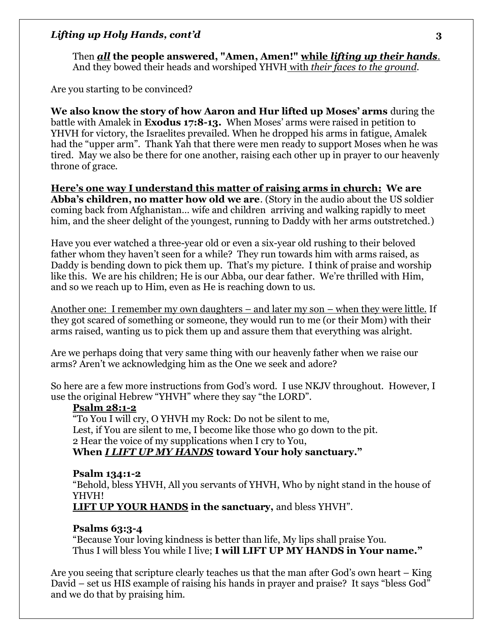Then *all* **the people answered, "Amen, Amen!" while** *lifting up their hands*. And they bowed their heads and worshiped YHVH with *their faces to the ground.*

Are you starting to be convinced?

**We also know the story of how Aaron and Hur lifted up Moses' arms** during the battle with Amalek in **Exodus 17:8-13.** When Moses' arms were raised in petition to YHVH for victory, the Israelites prevailed. When he dropped his arms in fatigue, Amalek had the "upper arm". Thank Yah that there were men ready to support Moses when he was tired. May we also be there for one another, raising each other up in prayer to our heavenly throne of grace.

**Here's one way I understand this matter of raising arms in church: We are Abba's children, no matter how old we are**. (Story in the audio about the US soldier coming back from Afghanistan… wife and children arriving and walking rapidly to meet him, and the sheer delight of the youngest, running to Daddy with her arms outstretched.)

Have you ever watched a three-year old or even a six-year old rushing to their beloved father whom they haven't seen for a while? They run towards him with arms raised, as Daddy is bending down to pick them up. That's my picture. I think of praise and worship like this. We are his children; He is our Abba, our dear father. We're thrilled with Him, and so we reach up to Him, even as He is reaching down to us.

Another one: I remember my own daughters – and later my son – when they were little. If they got scared of something or someone, they would run to me (or their Mom) with their arms raised, wanting us to pick them up and assure them that everything was alright.

Are we perhaps doing that very same thing with our heavenly father when we raise our arms? Aren't we acknowledging him as the One we seek and adore?

So here are a few more instructions from God's word. I use NKJV throughout. However, I use the original Hebrew "YHVH" where they say "the LORD".

#### **Psalm 28:1-2**

"To You I will cry, O YHVH my Rock: Do not be silent to me, Lest, if You are silent to me, I become like those who go down to the pit. 2 Hear the voice of my supplications when I cry to You, **When** *I LIFT UP MY HANDS* **toward Your holy sanctuary."**

#### **Psalm 134:1-2**

"Behold, bless YHVH, All you servants of YHVH, Who by night stand in the house of YHVH!

**LIFT UP YOUR HANDS in the sanctuary,** and bless YHVH".

### **Psalms 63:3-4**

"Because Your loving kindness is better than life, My lips shall praise You. Thus I will bless You while I live; **I will LIFT UP MY HANDS in Your name."**

Are you seeing that scripture clearly teaches us that the man after God's own heart – King David – set us HIS example of raising his hands in prayer and praise? It says "bless God" and we do that by praising him.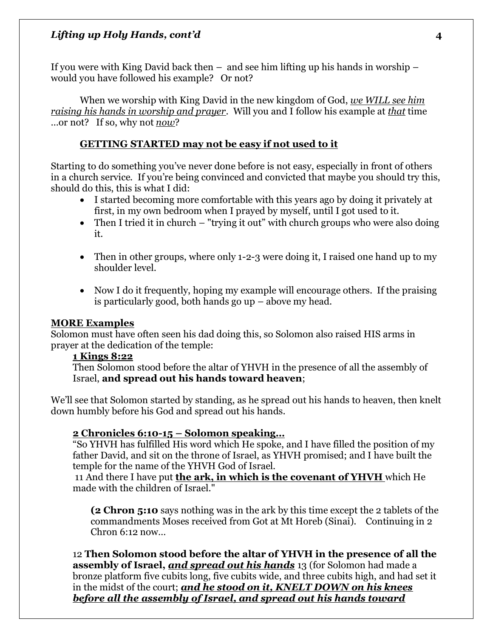If you were with King David back then – and see him lifting up his hands in worship – would you have followed his example? Or not?

When we worship with King David in the new kingdom of God, *we WILL see him raising his hands in worship and prayer*. Will you and I follow his example at *that* time …or not? If so, why not *now*?

# **GETTING STARTED may not be easy if not used to it**

Starting to do something you've never done before is not easy, especially in front of others in a church service. If you're being convinced and convicted that maybe you should try this, should do this, this is what I did:

- I started becoming more comfortable with this years ago by doing it privately at first, in my own bedroom when I prayed by myself, until I got used to it.
- Then I tried it in church "trying it out" with church groups who were also doing it.
- Then in other groups, where only 1-2-3 were doing it, I raised one hand up to my shoulder level.
- Now I do it frequently, hoping my example will encourage others. If the praising is particularly good, both hands go up – above my head.

# **MORE Examples**

Solomon must have often seen his dad doing this, so Solomon also raised HIS arms in prayer at the dedication of the temple:

# **1 Kings 8:22**

Then Solomon stood before the altar of YHVH in the presence of all the assembly of Israel, **and spread out his hands toward heaven**;

We'll see that Solomon started by standing, as he spread out his hands to heaven, then knelt down humbly before his God and spread out his hands.

# **2 Chronicles 6:10-15 – Solomon speaking…**

"So YHVH has fulfilled His word which He spoke, and I have filled the position of my father David, and sit on the throne of Israel, as YHVH promised; and I have built the temple for the name of the YHVH God of Israel.

11 And there I have put **the ark, in which is the covenant of YHVH** which He made with the children of Israel."

**(2 Chron 5:10** says nothing was in the ark by this time except the 2 tablets of the commandments Moses received from Got at Mt Horeb (Sinai). Continuing in 2  $Chron 6:12 now...$ 

12 **Then Solomon stood before the altar of YHVH in the presence of all the assembly of Israel,** *and spread out his hands* 13 (for Solomon had made a bronze platform five cubits long, five cubits wide, and three cubits high, and had set it in the midst of the court; *and he stood on it, KNELT DOWN on his knees before all the assembly of Israel, and spread out his hands toward*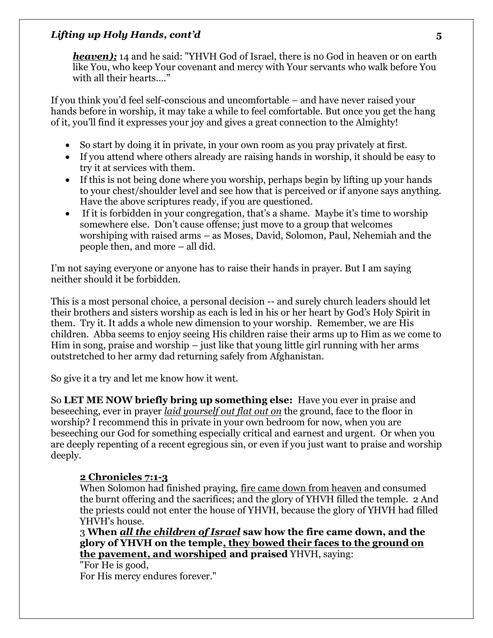**heaven);** 14 and he said: "YHVH God of Israel, there is no God in heaven or on earth like You, who keep Your covenant and mercy with Your servants who walk before You with all their hearts…."

If you think you'd feel self-conscious and uncomfortable – and have never raised your hands before in worship, it may take a while to feel comfortable. But once you get the hang of it, you'll find it expresses your joy and gives a great connection to the Almighty!

- So start by doing it in private, in your own room as you pray privately at first.
- If you attend where others already are raising hands in worship, it should be easy to try it at services with them.
- If this is not being done where you worship, perhaps begin by lifting up your hands to your chest/shoulder level and see how that is perceived or if anyone says anything. Have the above scriptures ready, if you are questioned.
- If it is forbidden in your congregation, that's a shame. Maybe it's time to worship somewhere else. Don't cause offense; just move to a group that welcomes worshiping with raised arms – as Moses, David, Solomon, Paul, Nehemiah and the people then, and more – all did.

I'm not saying everyone or anyone has to raise their hands in prayer. But I am saying neither should it be forbidden.

This is a most personal choice, a personal decision -- and surely church leaders should let their brothers and sisters worship as each is led in his or her heart by God's Holy Spirit in them. Try it. It adds a whole new dimension to your worship. Remember, we are His children. Abba seems to enjoy seeing His children raise their arms up to Him as we come to Him in song, praise and worship – just like that young little girl running with her arms outstretched to her army dad returning safely from Afghanistan.

So give it a try and let me know how it went.

So **LET ME NOW briefly bring up something else:** Have you ever in praise and beseeching, ever in prayer *laid yourself out flat out on* the ground, face to the floor in worship? I recommend this in private in your own bedroom for now, when you are beseeching our God for something especially critical and earnest and urgent. Or when you are deeply repenting of a recent egregious sin, or even if you just want to praise and worship deeply.

### **2 Chronicles 7:1-3**

When Solomon had finished praying, fire came down from heaven and consumed the burnt offering and the sacrifices; and the glory of YHVH filled the temple. 2 And the priests could not enter the house of YHVH, because the glory of YHVH had filled YHVH's house.

3 **When** *all the children of Israel* **saw how the fire came down, and the glory of YHVH on the temple, they bowed their faces to the ground on the pavement, and worshiped and praised** YHVH, saying:

"For He is good, For His mercy endures forever."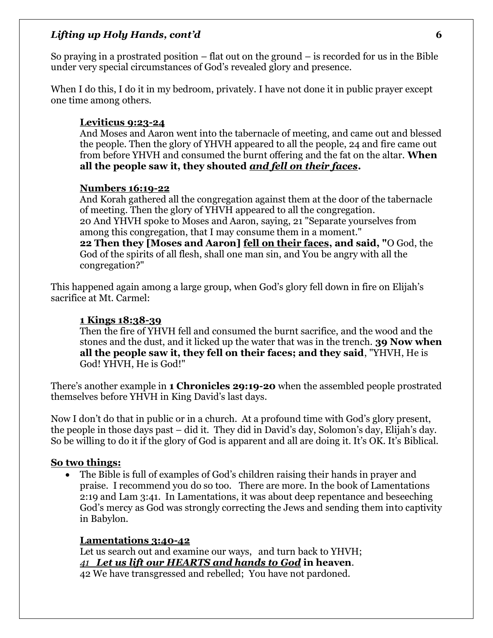So praying in a prostrated position  $-$  flat out on the ground  $-$  is recorded for us in the Bible under very special circumstances of God's revealed glory and presence.

When I do this, I do it in my bedroom, privately. I have not done it in public prayer except one time among others.

### **Leviticus 9:23-24**

And Moses and Aaron went into the tabernacle of meeting, and came out and blessed the people. Then the glory of YHVH appeared to all the people, 24 and fire came out from before YHVH and consumed the burnt offering and the fat on the altar. **When all the people saw it, they shouted** *and fell on their faces***.** 

### **Numbers 16:19-22**

And Korah gathered all the congregation against them at the door of the tabernacle of meeting. Then the glory of YHVH appeared to all the congregation. 20 And YHVH spoke to Moses and Aaron, saying, 21 "Separate yourselves from among this congregation, that I may consume them in a moment." **22 Then they [Moses and Aaron] fell on their faces, and said, "**O God, the God of the spirits of all flesh, shall one man sin, and You be angry with all the congregation?"

This happened again among a large group, when God's glory fell down in fire on Elijah's sacrifice at Mt. Carmel:

### **1 Kings 18:38-39**

Then the fire of YHVH fell and consumed the burnt sacrifice, and the wood and the stones and the dust, and it licked up the water that was in the trench. **39 Now when all the people saw it, they fell on their faces; and they said**, "YHVH, He is God! YHVH, He is God!"

There's another example in **1 Chronicles 29:19-20** when the assembled people prostrated themselves before YHVH in King David's last days.

Now I don't do that in public or in a church. At a profound time with God's glory present, the people in those days past – did it. They did in David's day, Solomon's day, Elijah's day. So be willing to do it if the glory of God is apparent and all are doing it. It's OK. It's Biblical.

### **So two things:**

• The Bible is full of examples of God's children raising their hands in prayer and praise. I recommend you do so too. There are more. In the book of Lamentations 2:19 and Lam 3:41. In Lamentations, it was about deep repentance and beseeching God's mercy as God was strongly correcting the Jews and sending them into captivity in Babylon.

### **Lamentations 3:40-42**

Let us search out and examine our ways, and turn back to YHVH; *41 Let us lift our HEARTS and hands to God* **in heaven**. 42 We have transgressed and rebelled; You have not pardoned.